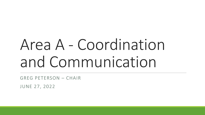# Area A - Coordination and Communication

GREG PETERSON – CHAIR

JUNE 27, 2022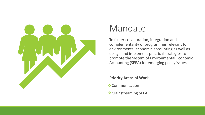

#### Mandate

To foster collaboration, integration and complementarity of programmes relevant to environmental economic accounting as well as design and implement practical strategies to promote the System of Environmental Economic Accounting (SEEA) for emerging policy issues.

#### **Priority Areas of Work**

- ❖Communication
- ❖Mainstreaming SEEA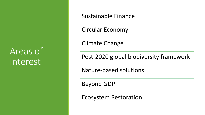### Areas of Interest

Sustainable Finance

Circular Economy

Climate Change

Post-2020 global biodiversity framework

Nature-based solutions

Beyond GDP

Ecosystem Restoration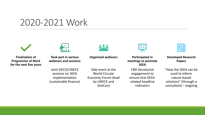#### 2020-2021 Work





**Finalization of Programme of Work for the next five years**

**Took part in various webinars and sessions**

Joint OECD/UNECE seminar on SEEA implementation (sustainable finance)

Side event at the World Circular Economy Forum (lead by UNECE and StatCan)

**Organized webinars**

**Participated in meetings to promote SEEA**

CBD Secretariat engagement to ensure that SEEArelated headline indicators

#### **Developed Research Papers**

"How the SEEA can be used to inform nature-based solutions" (through a consultant) – ongoing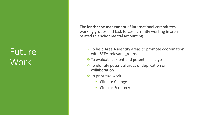### Future **Work**

The **landscape assessment** of international committees, working groups and task forces currently working in areas related to environmental accounting.

- ❖ To help Area A identify areas to promote coordination with SEEA-relevant groups
- ❖ To evaluate current and potential linkages
- ❖ To identify potential areas of duplication or collaboration
- ❖ To prioritize work
	- Climate Change
	- **Circular Economy**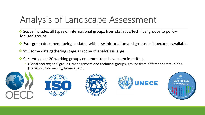## Analysis of Landscape Assessment

- ❖ Scope includes all types of international groups from statistics/technical groups to policyfocused groups
- ❖ Ever-green document, being updated with new information and groups as it becomes available
- ❖ Still some data gathering stage as scope of analysis is large
- ❖ Currently over 20 working groups or committees have been identified.
	- Global and regional groups, management and technical groups, groups from different communities (statistics, biodiversity, finance, etc.).

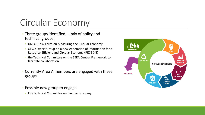### Circular Economy

- Three groups identified (mix of policy and technical groups)
	- UNECE Task Force on Measuring the Circular Economy
	- OECD Expert Group on a new generation of information for a Resource Efficient and Circular Economy (RECE-XG)
	- the Technical Committee on the SEEA Central Framework to facilitate collaboration
- Currently Area A members are engaged with these groups
- Possible new group to engage
	- ISO Technical Committee on Circular Economy

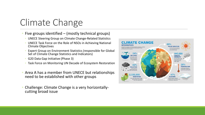## Climate Change

- Five groups identified (mostly technical groups)
	- UNECE Steering Group on Climate Change-Related Statistics
	- UNECE Task Force on the Role of NSOs in Achieving National Climate Objectives
	- Expert Group on Environment Statistics (responsible for Global Set of Climate Change Statistics and Indicators)
	- G20 Data Gap Initiative (Phase 3)
	- Task Force on Monitoring UN Decade of Ecosystem Restoration
- Area A has a member from UNECE but relationships need to be established with other groups
- Challenge: Climate Change is a very horizontallycutting broad issue

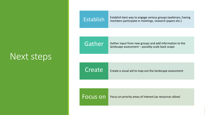#### Next steps

Establish best way to engage various groups (webinars, having<br>
Establish members participate in meetings research papers etc.) members participate in meetings, research papers etc.)

Gather Gather input from new groups and add information to the landscape assessment – possibly scale back scope

Create Create a visual aid to map out the landscape assessment

Focus on Focus on priority areas of interest (as resources allow)